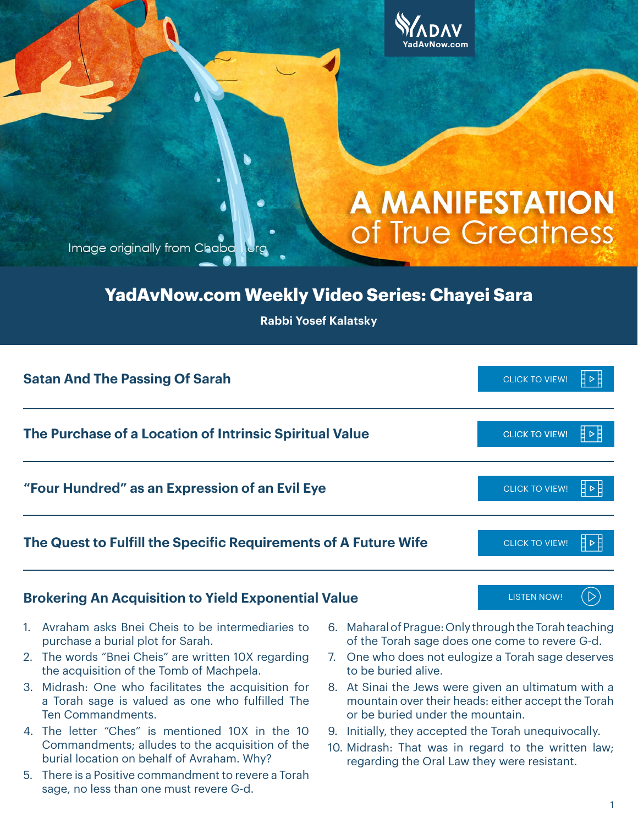

## Image originally from Chaba Nurg

# **A MANIFESTATION** of True Greatness

## **YadAvNow.com Weekly Video Series: Chayei Sara**

**Rabbi Yosef Kalatsky**

| <b>Satan And The Passing Of Sarah</b>                           | <b>CLICK TO VIEW!</b> |
|-----------------------------------------------------------------|-----------------------|
| The Purchase of a Location of Intrinsic Spiritual Value         | <b>CLICK TO VIEW!</b> |
| "Four Hundred" as an Expression of an Evil Eye                  | <b>CLICK TO VIEW!</b> |
| The Quest to Fulfill the Specific Requirements of A Future Wife | <b>CLICK TO VIEW!</b> |

#### **Brokering An Acquisition to Yield Exponential Value**

- 1. Avraham asks Bnei Cheis to be intermediaries to purchase a burial plot for Sarah.
- 2. The words "Bnei Cheis" are written 10X regarding the acquisition of the Tomb of Machpela.
- 3. Midrash: One who facilitates the acquisition for a Torah sage is valued as one who fulfilled The Ten Commandments.
- 4. The letter "Ches" is mentioned 10X in the 10 Commandments; alludes to the acquisition of the burial location on behalf of Avraham. Why?
- 5. There is a Positive commandment to revere a Torah sage, no less than one must revere G-d.

6. Maharal of Prague: Only through the Torah teaching of the Torah sage does one come to revere G-d.

[LISTEN NOW!](https://soundcloud.com/user-362774789/brokering-an-acquisition-to-yield-exponential-value)

 $\triangleright$ 

- 7. One who does not eulogize a Torah sage deserves to be buried alive.
- 8. At Sinai the Jews were given an ultimatum with a mountain over their heads: either accept the Torah or be buried under the mountain.
- 9. Initially, they accepted the Torah unequivocally.
- 10. Midrash: That was in regard to the written law; regarding the Oral Law they were resistant.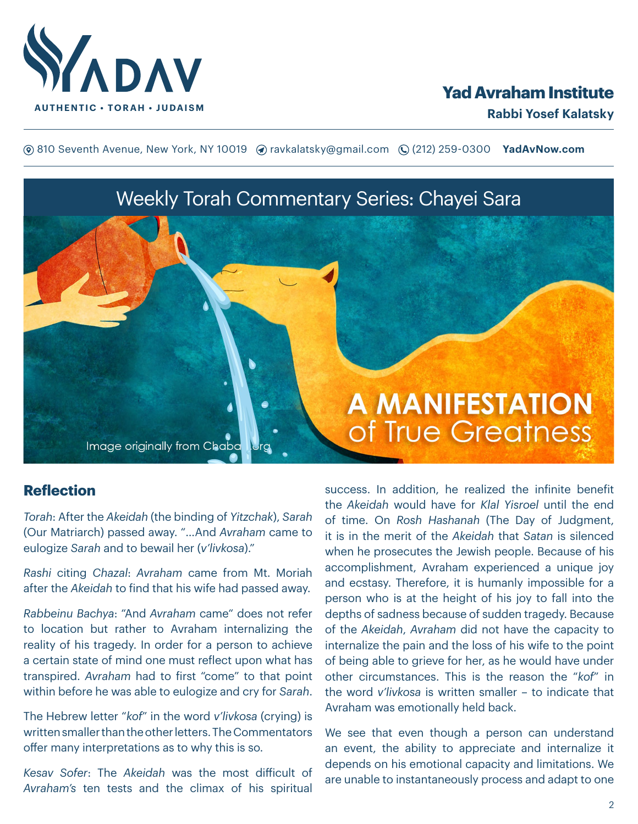

## **Yad Avraham Institute**

**(**® 810 Seventh Avenue, New York, NY 10019 (? ravkalatsky@gmail.com (2(212) 259-0300 **YadAvNow.com** 

## Weekly Torah Commentary Series: Chayei Sara

Image originally from Chaba

#### **Reflection**

*Torah*: After the *Akeidah* (the binding of *Yitzchak*), *Sarah* (Our Matriarch) passed away. "…And *Avraham* came to eulogize *Sarah* and to bewail her (*v'livkosa*)."

*Rashi* citing *Chazal*: *Avraham* came from Mt. Moriah after the *Akeidah* to find that his wife had passed away.

*Rabbeinu Bachya*: "And *Avraham* came" does not refer to location but rather to Avraham internalizing the reality of his tragedy. In order for a person to achieve a certain state of mind one must reflect upon what has transpired. *Avraham* had to first "come" to that point within before he was able to eulogize and cry for *Sarah*.

The Hebrew letter "*kof*" in the word *v'livkosa* (crying) is written smaller than the other letters. The Commentators offer many interpretations as to why this is so.

*Kesav Sofer*: The *Akeidah* was the most difficult of *Avraham's* ten tests and the climax of his spiritual

success. In addition, he realized the infinite benefit the *Akeidah* would have for *Klal Yisroel* until the end of time. On *Rosh Hashanah* (The Day of Judgment, it is in the merit of the *Akeidah* that *Satan* is silenced when he prosecutes the Jewish people. Because of his accomplishment, Avraham experienced a unique joy and ecstasy. Therefore, it is humanly impossible for a person who is at the height of his joy to fall into the depths of sadness because of sudden tragedy. Because of the *Akeidah*, *Avraham* did not have the capacity to internalize the pain and the loss of his wife to the point of being able to grieve for her, as he would have under other circumstances. This is the reason the "*kof*" in the word *v'livkosa* is written smaller – to indicate that Avraham was emotionally held back.

**A MANIFESTATION** 

of True Greatness

We see that even though a person can understand an event, the ability to appreciate and internalize it depends on his emotional capacity and limitations. We are unable to instantaneously process and adapt to one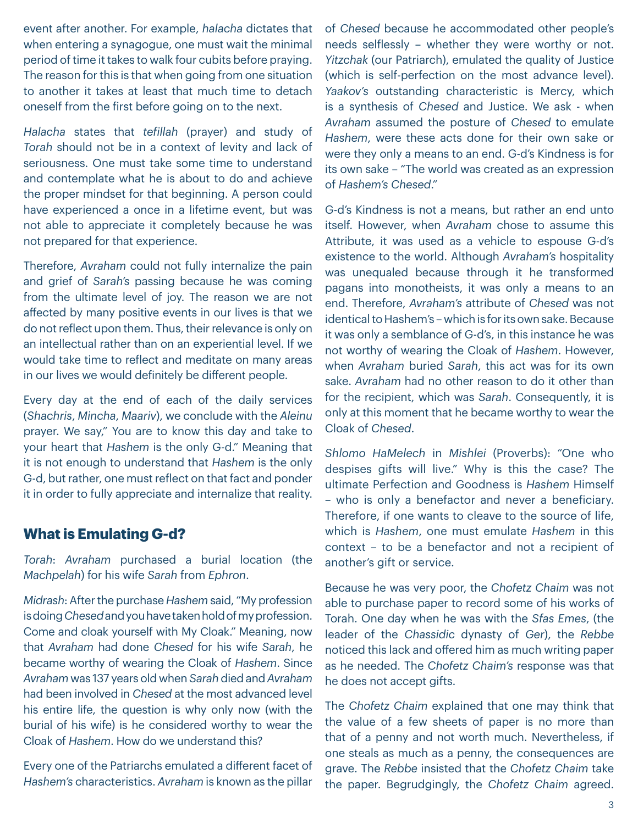event after another. For example, *halacha* dictates that when entering a synagogue, one must wait the minimal period of time it takes to walk four cubits before praying. The reason for this is that when going from one situation to another it takes at least that much time to detach oneself from the first before going on to the next.

*Halacha* states that *tefillah* (prayer) and study of *Torah* should not be in a context of levity and lack of seriousness. One must take some time to understand and contemplate what he is about to do and achieve the proper mindset for that beginning. A person could have experienced a once in a lifetime event, but was not able to appreciate it completely because he was not prepared for that experience.

Therefore, *Avraham* could not fully internalize the pain and grief of *Sarah's* passing because he was coming from the ultimate level of joy. The reason we are not affected by many positive events in our lives is that we do not reflect upon them. Thus, their relevance is only on an intellectual rather than on an experiential level. If we would take time to reflect and meditate on many areas in our lives we would definitely be different people.

Every day at the end of each of the daily services (*Shachris*, *Mincha*, *Maariv*), we conclude with the *Aleinu* prayer. We say," You are to know this day and take to your heart that *Hashem* is the only G-d." Meaning that it is not enough to understand that *Hashem* is the only G-d, but rather, one must reflect on that fact and ponder it in order to fully appreciate and internalize that reality.

### **What is Emulating G-d?**

*Torah*: *Avraham* purchased a burial location (the *Machpelah*) for his wife *Sarah* from *Ephron*.

*Midrash*: After the purchase *Hashem* said, "My profession is doing *Chesed* and you have taken hold of my profession. Come and cloak yourself with My Cloak." Meaning, now that *Avraham* had done *Chesed* for his wife *Sarah*, he became worthy of wearing the Cloak of *Hashem*. Since *Avraham* was 137 years old when *Sarah* died and *Avraham* had been involved in *Chesed* at the most advanced level his entire life, the question is why only now (with the burial of his wife) is he considered worthy to wear the Cloak of *Hashem*. How do we understand this?

Every one of the Patriarchs emulated a different facet of *Hashem's* characteristics. *Avraham* is known as the pillar

of *Chesed* because he accommodated other people's needs selflessly – whether they were worthy or not. *Yitzchak* (our Patriarch), emulated the quality of Justice (which is self-perfection on the most advance level). *Yaakov's* outstanding characteristic is Mercy, which is a synthesis of *Chesed* and Justice. We ask - when *Avraham* assumed the posture of *Chesed* to emulate *Hashem*, were these acts done for their own sake or were they only a means to an end. G-d's Kindness is for its own sake – "The world was created as an expression of *Hashem's Chesed*."

G-d's Kindness is not a means, but rather an end unto itself. However, when *Avraham* chose to assume this Attribute, it was used as a vehicle to espouse G-d's existence to the world. Although *Avraham's* hospitality was unequaled because through it he transformed pagans into monotheists, it was only a means to an end. Therefore, *Avraham's* attribute of *Chesed* was not identical to Hashem's – which is for its own sake. Because it was only a semblance of G-d's, in this instance he was not worthy of wearing the Cloak of *Hashem*. However, when *Avraham* buried *Sarah*, this act was for its own sake. *Avraham* had no other reason to do it other than for the recipient, which was *Sarah*. Consequently, it is only at this moment that he became worthy to wear the Cloak of *Chesed*.

*Shlomo HaMelech* in *Mishlei* (Proverbs): "One who despises gifts will live." Why is this the case? The ultimate Perfection and Goodness is *Hashem* Himself – who is only a benefactor and never a beneficiary. Therefore, if one wants to cleave to the source of life, which is *Hashem*, one must emulate *Hashem* in this context – to be a benefactor and not a recipient of another's gift or service.

Because he was very poor, the *Chofetz Chaim* was not able to purchase paper to record some of his works of Torah. One day when he was with the *Sfas Emes*, (the leader of the *Chassidic* dynasty of *Ger*), the *Rebbe* noticed this lack and offered him as much writing paper as he needed. The *Chofetz Chaim's* response was that he does not accept gifts.

The *Chofetz Chaim* explained that one may think that the value of a few sheets of paper is no more than that of a penny and not worth much. Nevertheless, if one steals as much as a penny, the consequences are grave. The *Rebbe* insisted that the *Chofetz Chaim* take the paper. Begrudgingly, the *Chofetz Chaim* agreed.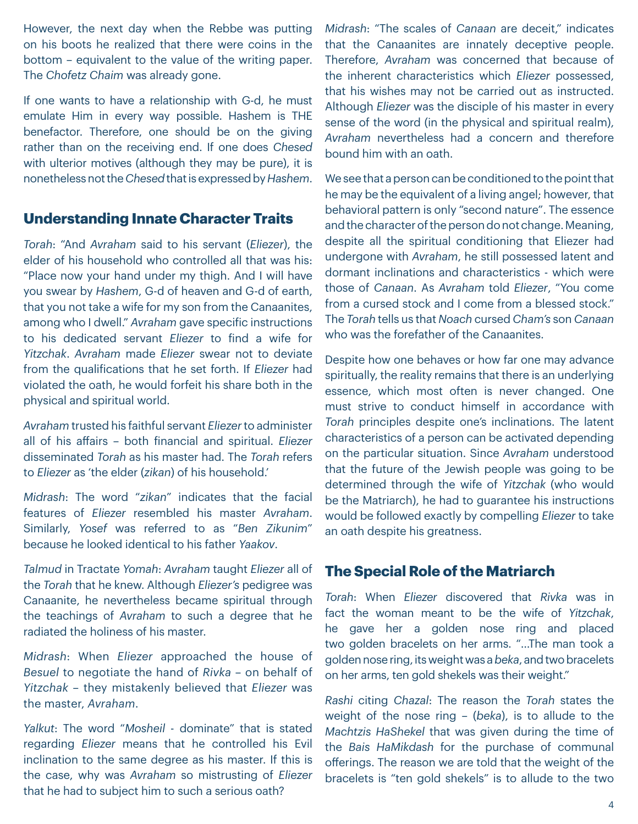However, the next day when the Rebbe was putting on his boots he realized that there were coins in the bottom – equivalent to the value of the writing paper. The *Chofetz Chaim* was already gone.

If one wants to have a relationship with G-d, he must emulate Him in every way possible. Hashem is THE benefactor. Therefore, one should be on the giving rather than on the receiving end. If one does *Chesed* with ulterior motives (although they may be pure), it is nonetheless not the *Chesed* that is expressed by *Hashem*.

#### **Understanding Innate Character Traits**

*Torah*: "And *Avraham* said to his servant (*Eliezer*), the elder of his household who controlled all that was his: "Place now your hand under my thigh. And I will have you swear by *Hashem*, G-d of heaven and G-d of earth, that you not take a wife for my son from the Canaanites, among who I dwell." *Avraham* gave specific instructions to his dedicated servant *Eliezer* to find a wife for *Yitzchak*. *Avraham* made *Eliezer* swear not to deviate from the qualifications that he set forth. If *Eliezer* had violated the oath, he would forfeit his share both in the physical and spiritual world.

*Avraham* trusted his faithful servant *Eliezer* to administer all of his affairs – both financial and spiritual. *Eliezer* disseminated *Torah* as his master had. The *Torah* refers to *Eliezer* as 'the elder (*zikan*) of his household.'

*Midrash*: The word "*zikan*" indicates that the facial features of *Eliezer* resembled his master *Avraham*. Similarly, *Yosef* was referred to as "*Ben Zikunim*" because he looked identical to his father *Yaakov*.

*Talmud* in Tractate *Yomah*: *Avraham* taught *Eliezer* all of the *Torah* that he knew. Although *Eliezer's* pedigree was Canaanite, he nevertheless became spiritual through the teachings of *Avraham* to such a degree that he radiated the holiness of his master.

*Midrash*: When *Eliezer* approached the house of *Besuel* to negotiate the hand of *Rivka* – on behalf of *Yitzchak* – they mistakenly believed that *Eliezer* was the master, *Avraham*.

*Yalkut*: The word "*Mosheil* - dominate" that is stated regarding *Eliezer* means that he controlled his Evil inclination to the same degree as his master. If this is the case, why was *Avraham* so mistrusting of *Eliezer* that he had to subject him to such a serious oath?

*Midrash*: "The scales of *Canaan* are deceit," indicates that the Canaanites are innately deceptive people. Therefore, *Avraham* was concerned that because of the inherent characteristics which *Eliezer* possessed, that his wishes may not be carried out as instructed. Although *Eliezer* was the disciple of his master in every sense of the word (in the physical and spiritual realm), *Avraham* nevertheless had a concern and therefore bound him with an oath.

We see that a person can be conditioned to the point that he may be the equivalent of a living angel; however, that behavioral pattern is only "second nature". The essence and the character of the person do not change. Meaning, despite all the spiritual conditioning that Eliezer had undergone with *Avraham*, he still possessed latent and dormant inclinations and characteristics - which were those of *Canaan*. As *Avraham* told *Eliezer*, "You come from a cursed stock and I come from a blessed stock." The *Torah* tells us that *Noach* cursed *Cham's* son *Canaan* who was the forefather of the Canaanites.

Despite how one behaves or how far one may advance spiritually, the reality remains that there is an underlying essence, which most often is never changed. One must strive to conduct himself in accordance with *Torah* principles despite one's inclinations. The latent characteristics of a person can be activated depending on the particular situation. Since *Avraham* understood that the future of the Jewish people was going to be determined through the wife of *Yitzchak* (who would be the Matriarch), he had to guarantee his instructions would be followed exactly by compelling *Eliezer* to take an oath despite his greatness.

### **The Special Role of the Matriarch**

*Torah*: When *Eliezer* discovered that *Rivka* was in fact the woman meant to be the wife of *Yitzchak*, he gave her a golden nose ring and placed two golden bracelets on her arms. "…The man took a golden nose ring, its weight was a *beka*, and two bracelets on her arms, ten gold shekels was their weight."

*Rashi* citing *Chazal*: The reason the *Torah* states the weight of the nose ring – (*beka*), is to allude to the *Machtzis HaShekel* that was given during the time of the *Bais HaMikdash* for the purchase of communal offerings. The reason we are told that the weight of the bracelets is "ten gold shekels" is to allude to the two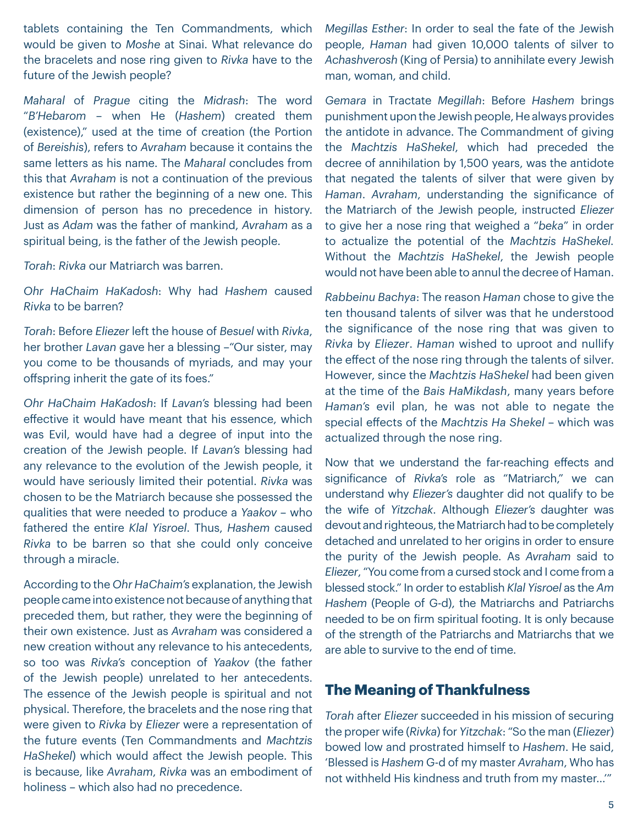tablets containing the Ten Commandments, which would be given to *Moshe* at Sinai. What relevance do the bracelets and nose ring given to *Rivka* have to the future of the Jewish people?

*Maharal* of *Prague* citing the *Midrash*: The word "*B'Hebarom* – when He (*Hashem*) created them (existence)," used at the time of creation (the Portion of *Bereishis*), refers to *Avraham* because it contains the same letters as his name. The *Maharal* concludes from this that *Avraham* is not a continuation of the previous existence but rather the beginning of a new one. This dimension of person has no precedence in history. Just as *Adam* was the father of mankind, *Avraham* as a spiritual being, is the father of the Jewish people.

*Torah*: *Rivka* our Matriarch was barren.

*Ohr HaChaim HaKadosh*: Why had *Hashem* caused *Rivka* to be barren?

*Torah*: Before *Eliezer* left the house of *Besuel* with *Rivka*, her brother *Lavan* gave her a blessing –"Our sister, may you come to be thousands of myriads, and may your offspring inherit the gate of its foes."

*Ohr HaChaim HaKadosh*: If *Lavan's* blessing had been effective it would have meant that his essence, which was Evil, would have had a degree of input into the creation of the Jewish people. If *Lavan's* blessing had any relevance to the evolution of the Jewish people, it would have seriously limited their potential. *Rivka* was chosen to be the Matriarch because she possessed the qualities that were needed to produce a *Yaakov* – who fathered the entire *Klal Yisroel*. Thus, *Hashem* caused *Rivka* to be barren so that she could only conceive through a miracle.

According to the *Ohr HaChaim's* explanation, the Jewish people came into existence not because of anything that preceded them, but rather, they were the beginning of their own existence. Just as *Avraham* was considered a new creation without any relevance to his antecedents, so too was *Rivka's* conception of *Yaakov* (the father of the Jewish people) unrelated to her antecedents. The essence of the Jewish people is spiritual and not physical. Therefore, the bracelets and the nose ring that were given to *Rivka* by *Eliezer* were a representation of the future events (Ten Commandments and *Machtzis HaShekel*) which would affect the Jewish people. This is because, like *Avraham*, *Rivka* was an embodiment of holiness – which also had no precedence.

*Megillas Esther*: In order to seal the fate of the Jewish people, *Haman* had given 10,000 talents of silver to *Achashverosh* (King of Persia) to annihilate every Jewish man, woman, and child.

*Gemara* in Tractate *Megillah*: Before *Hashem* brings punishment upon the Jewish people, He always provides the antidote in advance. The Commandment of giving the *Machtzis HaShekel*, which had preceded the decree of annihilation by 1,500 years, was the antidote that negated the talents of silver that were given by *Haman*. *Avraham*, understanding the significance of the Matriarch of the Jewish people, instructed *Eliezer* to give her a nose ring that weighed a "*beka*" in order to actualize the potential of the *Machtzis HaShekel.*  Without the *Machtzis HaShekel*, the Jewish people would not have been able to annul the decree of Haman.

*Rabbeinu Bachya*: The reason *Haman* chose to give the ten thousand talents of silver was that he understood the significance of the nose ring that was given to *Rivka* by *Eliezer*. *Haman* wished to uproot and nullify the effect of the nose ring through the talents of silver. However, since the *Machtzis HaShekel* had been given at the time of the *Bais HaMikdash*, many years before *Haman's* evil plan, he was not able to negate the special effects of the *Machtzis Ha Shekel* – which was actualized through the nose ring.

Now that we understand the far-reaching effects and significance of *Rivka's* role as "Matriarch," we can understand why *Eliezer's* daughter did not qualify to be the wife of *Yitzchak*. Although *Eliezer's* daughter was devout and righteous, the Matriarch had to be completely detached and unrelated to her origins in order to ensure the purity of the Jewish people. As *Avraham* said to *Eliezer*, "You come from a cursed stock and I come from a blessed stock." In order to establish *Klal Yisroel* as the *Am Hashem* (People of G-d), the Matriarchs and Patriarchs needed to be on firm spiritual footing. It is only because of the strength of the Patriarchs and Matriarchs that we are able to survive to the end of time.

### **The Meaning of Thankfulness**

*Torah* after *Eliezer* succeeded in his mission of securing the proper wife (*Rivka*) for *Yitzchak*: "So the man (*Eliezer*) bowed low and prostrated himself to *Hashem*. He said, 'Blessed is *Hashem* G-d of my master *Avraham*, Who has not withheld His kindness and truth from my master…'"